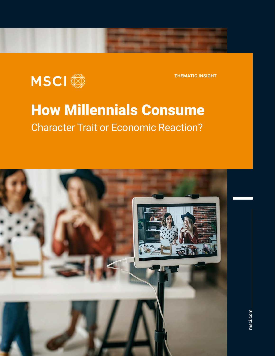

**THEMATIC INSIGHT**

## **Ow Millennials Cons** How Millennials Consume Character Trait or Economic Reaction?

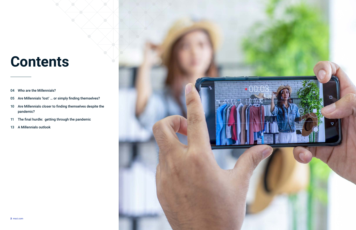- Who are the Millennials? 04
- 05 Are Millennials 'lost' ... or simply finding themselves?
- 94 Who are the Millennials?<br>
10 Are Millennials 'lost' ... or simply f<br>
10 Are Millennials closer to finding t<br>
11 The final hurdle: getting through 10 Are Millennials closer to finding themselves despite the pandemic?
- 11 The final hurdle: getting through the pandemic
- 13 A Millennials outlook



# Contents **Contents**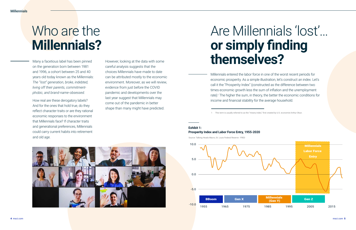Many a facetious label has been pinned on the generation born between 1981 and 1996, a cohort between 25 and 40 years old today known as the Millennials: *The "lost" generation, broke, indebted, living off their parents, commitmentphobic, and brand-name-obsessed.*

How real are these derogatory labels? And for the ones that hold true, do they reflect character traits or are they rational economic responses to the environment that Millennials face? If character traits and generational preferences, Millennials could carry current habits into retirement and old age.

# Who are the **Millennials?**

# Are Millennials 'lost'… **or simply finding**  However, looking at the data with some **themselves?**

Millennials entered the labor force in one of the worst recent periods for economic prosperity. As a simple illustration, let's construct an index. Let's call it the "Prosperity Index" (constructed as the difference between two times economic growth less the sum of inflation and the unemployment rate).<sup>1</sup> The higher the sum, in theory, the better the economic conditions for income and financial stability for the average household.

careful analysis suggests that the choices Millennials have made to date can be attributed mostly to the economic environment. Moreover, as we will review, evidence from just before the COVID pandemic and developments over the last year suggest that Millennials may come out of the pandemic in better shape than many might have predicted.

### **Exhibit 1: Prosperity Index and Labor Force Entry, 1955-2020**

Source: Talking Heads Macro, St. Louis Federal Reserve - FRED

1 This term is usually referred to as the "misery index," first created by U.S. economist Arthur Okun.



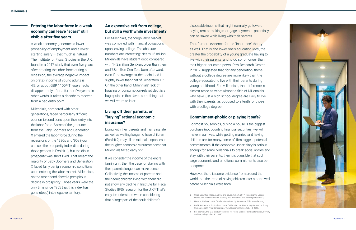- 
- 
- 
- 

- 
- 
- 
- 

- 
- 



probability of employment and a lower upc<br>starting salary – that much is natural. In the limit of the much is natural. The Institute for Fiscal Studies in the U.K. Mill<br>found in a 2017 study that even five years with<br>after A weak economy generates a lower probability of employment and a lower starting salary  $-$  that much is natural. The Institute for Fiscal Studies in the U.K. found in a 2017 study that even five years after entering the labor force during a recession, the average negative impact on pretax income of young adults is 4%, or about GBP 1,100.² These effects disappear only after a further five years. In other words, it takes a decade to recover from a bad entry point.

### **Entering the labor force in a weak economy can leave "scars" still visible after five years.**

disappear only after a furt<br>other words, it takes a dec<br>from a bad entry point.<br>Millennials, compared with<br>generations, faced particul<br>economic conditions upor Millennials, compared with other generations, faced particularly difficult economic conditions upon their entry into the labor force. Some of the graduates from the Baby Boomers and Generation X entered the labor force during the recessions of the 1980s and '90s (you can see the prosperity index dips during those periods in Exhibit 1), but the dip in prosperity was short-lived. That meant the majority of Baby Boomers and Generation X faced fairly benign economic conditions upon entering the labor market. Millennials, on the other hand, faced a precipitous decline in prosperity: Those years were the only time since 1955 that this index has gone (deep) into negative territory.

### **An expensive exit from college, but still a worthwhile investment?**

Frances, and to do so for longer than<br>
cated peers. Pew Research Center<br>
ed that, for any generation, those<br>
e degree are more likely than the<br>
d to live with their parents during<br>
d. For Millennials, that difference is<br>
w There's more evidence for the "insurance" theory as well. That is, the lower one's education level, the greater the probability of a young graduate having to live with their parents, and to do so for longer than their higher-educated peers. Pew Research Center in 2019 suggested that, for any generation, those without a college degree are more likely than the college-educated to live with their parents during young adulthood. For Millennials, that difference is almost twice as wide: Almost a fifth of Millennials who have just a high school degree are likely to live with their parents, as opposed to a tenth for those with a college degree.

For Millennials, the tough labor market was combined with financial obligations upon leaving college. The absolute numbers are interesting: Nearly 15 million Millennials have student debt, compared with 14.2 million Gen Xers older than them and 7.8 million Gen Zers born afterward, even if the average student debt load is slightly lower than that of Generation X.<sup>3</sup> On the other hand, Millennials' lack of housing or consumption-related debt is a huge point in their favor, something that we will return to later.

is, as opposed to a tenth for those<br>egree.<br>**-phobic or playing it safe?**<br>nolds, buying a house is the biggest<br>punting financial securities) we will For most households, buying a house is the biggest purchase (not counting financial securities) we will make in our lives, while getting married and having children are, for many, some of life's biggest potential commitments. If the economic uncertainty is serious enough for some Millennials to break social norms and stay with their parents, then it is plausible that such large economic and emotional commitments also be postponed.

### **Living off their parents, or "buying" rational economic insurance?**

Living with their parents and marrying later, as well as waiting longer to have children (Exhibit 2) may all be rational responses to the tougher economic circumstances that Millennials faced early on. 4

If we consider the income of the entire family unit, then the case for staying with their parents longer can make sense. Collectively, the income of parents and their adult children living with them did not show any decline in Institute for Fiscal Studies (IFS) research for the U.K. 5 That's easy to understand when considering that a large part of the adult children's

disposable income that might normally go toward paying rent or making mortgage payments potentially can be saved while living with their parents.

### **Commitment-phobic or playing it safe?**

However, there is some evidence from around the world that the trend of having children later started well before Millennials were born.

<sup>2</sup> Cribb, Jonathan, Hood, Andrew, and Joyce, Robert. 2017. "Entering the Labour Market in a Weak Economy: Scarring and Insurance." IFS Working Paper W17/27.

Bialik, Kristen and Fry, Richard. 2019. "Millennial Life: How Young Adulthood Today Compares With Prior Generations." Pew Research Center, Feb. 14, 2019.

<sup>3</sup> Hanson, Melanie. 2021. "Student Loan Debt by Generation."Educationdata.org.

<sup>5</sup> For example, the U.K. study by Institute for Fiscal Studies: "Living Standards, Poverty and Inequality in the UK: 2019."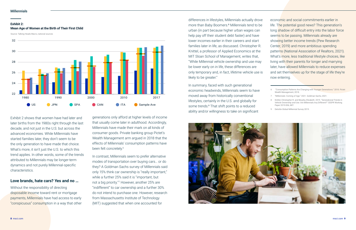Exhibit 2 shows that women have had later and later births from the 1980s right through the last decade, and not just in the U.S. but across the advanced economies. While Millennials have started families later, they don't seem to be the only generation to have made that choice. What's more, it isn't just the U.S. to which this trend applies. In other words, some of the trends attributed to Millennials may be longer-term dynamics and not purely Millennial-specific characteristics.

generations only afford at higher levels of income that usually come later in adulthood. Accordingly, Millennials have made their mark on all kinds of consumer goods. Private banking group Pictet's Wealth Management arm argued in 2018 that the effects of Millennials' consumption patterns have been felt concretely.<sup>6</sup>

### **Love brands, hate cars? Yes and no …**

Without the responsibility of directing disposable income toward rent or mortgage payments, Millennials have had access to early "conspicuous" consumption in a way that other

### **Exhibit 2:**

### **Mean Age of Women at the Birth of Their First Child**

Source: Talking Heads Macro, national sources



In contrast, Millennials seem to prefer alternative modes of transportation over buying cars… or do they? A Goldman Sachs survey of Millennials said only 15% think car ownership is "really important," while a further 25% said it is "important, but not a big priority."7 However, another 25% are "indifferent" to car ownership and a further 30% do not intend to purchase one. However, research from Massachusetts Institute of Technology (MIT) suggested that when one accounted for

"Consumption Patterns Are Changing with Younger Generations." 2018. Pictet Wealth Management, 2018.

- 7 "Millennials: Coming of Age." 2021. Goldman Sachs, 2021.
- Knittel, Christopher R. and Murphy, Elizabeth. 2019. "Generational Trends in Vehicle Ownership and Use: Are Millennials Any Different?" CEEPR Working Paper 2019-006, MIT.
- 9 Deloitte Global Millennial Survey 2019.

differences in lifestyles, Millennials actually drove more than Baby Boomers.<sup>8</sup> Millennials tend to be urban (in part because higher urban wages can help pay off their student debt faster) and have lower incomes earlier in their careers and start families later in life, as discussed. Christopher R. Knittel, a professor of Applied Economics at the MIT Sloan School of Management, writes that, "While Millennial vehicle ownership and use may be lower early on in life, these differences are only temporary and, in fact, lifetime vehicle use is likely to be greater." economic and social commitments earlier in life. The potential good news? This generation's long shadow of difficult entry into the labor force seems to be passing. Millennials already are showing better income trends (Pew Research Center, 2019) and more ambitious spending patterns (National Association of Realtors, 2021). What's more, less traditional lifestyle choices, like living with their parents for longer and marrying later, have allowed Millennials to reduce expenses and set themselves up for the stage of life they're now entering.

In summary, faced with such generational economic headwinds, Millennials seem to have moved away from historically conventional lifestyles, certainly in the U.S. and globally for some trends.9 That shift points to a reduced ability and/or willingness to take on significant

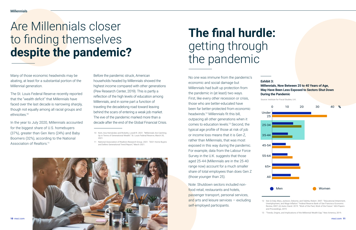The St. Louis Federal Reserve recently reported that the "wealth deficit" that Millennials have faced over the last decade is narrowing sharply, though not equally among all racial groups and ethnicities.<sup>10</sup>

Many of those economic headwinds may be abating, at least for a substantial portion of the Millennial generation.

In the year to July 2020, Millennials accounted for the biggest share of U.S. homebuyers (37%), greater than Gen Xers (24%) and Baby Boomers (32%), according to the National Association of Realtors.<sup>11</sup>

> Note: Shutdown sectors included nonfood retail, restaurants and hotels, passenger transport, personal services, and arts and leisure services  $-$  excluding self-employed participants.

No one was immune from the pandemic's economic and social damage but Millennials had built up protection from the pandemic in (at least) two ways. First, like every other recession or crisis, those who are better-educated have been far better-protected from economic headwinds.12 Millennials fit this bill, outpacing all other generations when it comes to education levels.13 Second, the typical age profile of those at risk of job or income loss means that it is Gen Z, rather than Millennials, that was most exposed in this way during the pandemic. For example, data from the Labour Force Survey in the U.K. suggests that those aged 25-44 (Millennials are in the 25-40 range now) account for a much smaller share of total employees than does Gen Z (those younger than 25).

<sup>11</sup> National Association of Realtors Research Group. 2021. "2021 Home Buyers and Sellers Generational Trend Report," March 2021.



## Are Millennials closer to finding themselves **despite the pandemic?**

## **The final hurdle:**  getting through the pandemic

### **Exhibit 3: Millennials, Now Between 25 to 40 Years of Age, May Have Been Less Exposed to Sectors Shut Down During the Pandemic**

Source: Institute for Fiscal Studies, U.K.



<sup>12</sup> See (i) Daly, Mary, Jackson, Osborne, and Valetta, Robert. 2007. "Educational Attainment, Unemployment, and Wage Inflation." Federal Reserve Bank of San Francisco Economic Review, 2007; (ii) Autor, David. 2019. "Work of the Past, Work of the Future." AEA Papers and Proceedings, 2019.

Before the pandemic struck, American households headed by Millennials showed the highest income compared with other generations (Pew Research Center, 2019). This is partly a reflection of the high levels of education among Millennials, and in some part a function of traveling the decadelong road toward leaving behind the scars of entering a weak job market. The eve of the pandemic marked more than a decade after the end of the Global Financial Crisis.

<sup>10</sup> Kent, Ana Hernández and Ricketts, Lowell R. 2021. "Millennials Are Catching Up in Terms of Generational Wealth." St. Louis Federal Reserve, March 30, 2021.

<sup>13 &</sup>quot;Trends, Origins, and Implications of the Millennial Wealth Gap." New America, 2019.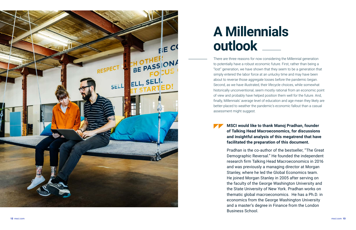There are three reasons for now considering the Millennial generation to potentially have a robust economic future. First, rather than being a "lost" generation, we have shown that they seem to be a generation that simply entered the labor force at an unlucky time and may have been about to reverse those aggregate losses before the pandemic began. Second, as we have illustrated, their lifecycle choices, while somewhat historically unconventional, seem mostly rational from an economic point of view and probably have helped position them well for the future. And, finally, Millennials' average level of education and age mean they likely are better-placed to weather the pandemic's economic fallout than a casual assessment might suggest.



# **A Millennials outlook**

## **MSCI would like to thank Manoj Pradhan, founder of Talking Head Macroeconomics, for discussions and insightful analysis of this megatrend that have facilitated the preparation of this document.**

Pradhan is the co-author of the bestseller, "The Great Demographic Reversal." He founded the independent research firm Talking Head Macroeconomics in 2016 and was previously a managing director at Morgan Stanley, where he led the Global Economics team. He joined Morgan Stanley in 2005 after serving on the faculty of the George Washington University and the State University of New York. Pradhan works on thematic global macroeconomics. He has a Ph.D. in economics from the George Washington University and a master's degree in Finance from the London Business School.